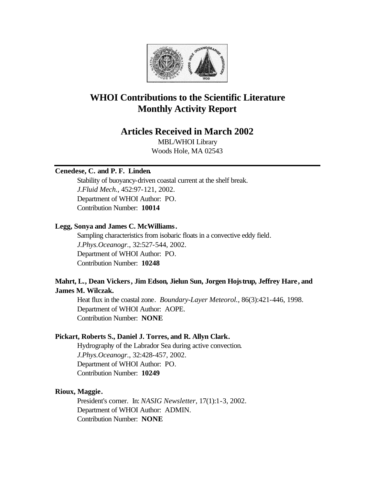

# **WHOI Contributions to the Scientific Literature Monthly Activity Report**

# **Articles Received in March 2002**

MBL/WHOI Library Woods Hole, MA 02543

## **Cenedese, C. and P. F. Linden.**

Stability of buoyancy-driven coastal current at the shelf break. *J.Fluid Mech.*, 452:97-121, 2002. Department of WHOI Author: PO. Contribution Number: **10014**

#### **Legg, Sonya and James C. McWilliams.**

Sampling characteristics from isobaric floats in a convective eddy field. *J.Phys.Oceanogr.*, 32:527-544, 2002. Department of WHOI Author: PO. Contribution Number: **10248**

# **Mahrt, L., Dean Vickers, Jim Edson, Jielun Sun, Jorgen Hojstrup, Jeffrey Hare, and James M. Wilczak.**

Heat flux in the coastal zone. *Boundary-Layer Meteorol.*, 86(3):421-446, 1998. Department of WHOI Author: AOPE. Contribution Number: **NONE**

## **Pickart, Roberts S., Daniel J. Torres, and R. Allyn Clark.**

Hydrography of the Labrador Sea during active convection. *J.Phys.Oceanogr.*, 32:428-457, 2002. Department of WHOI Author: PO. Contribution Number: **10249**

#### **Rioux, Maggie.**

President's corner. In: *NASIG Newsletter*, 17(1):1-3, 2002. Department of WHOI Author: ADMIN. Contribution Number: **NONE**